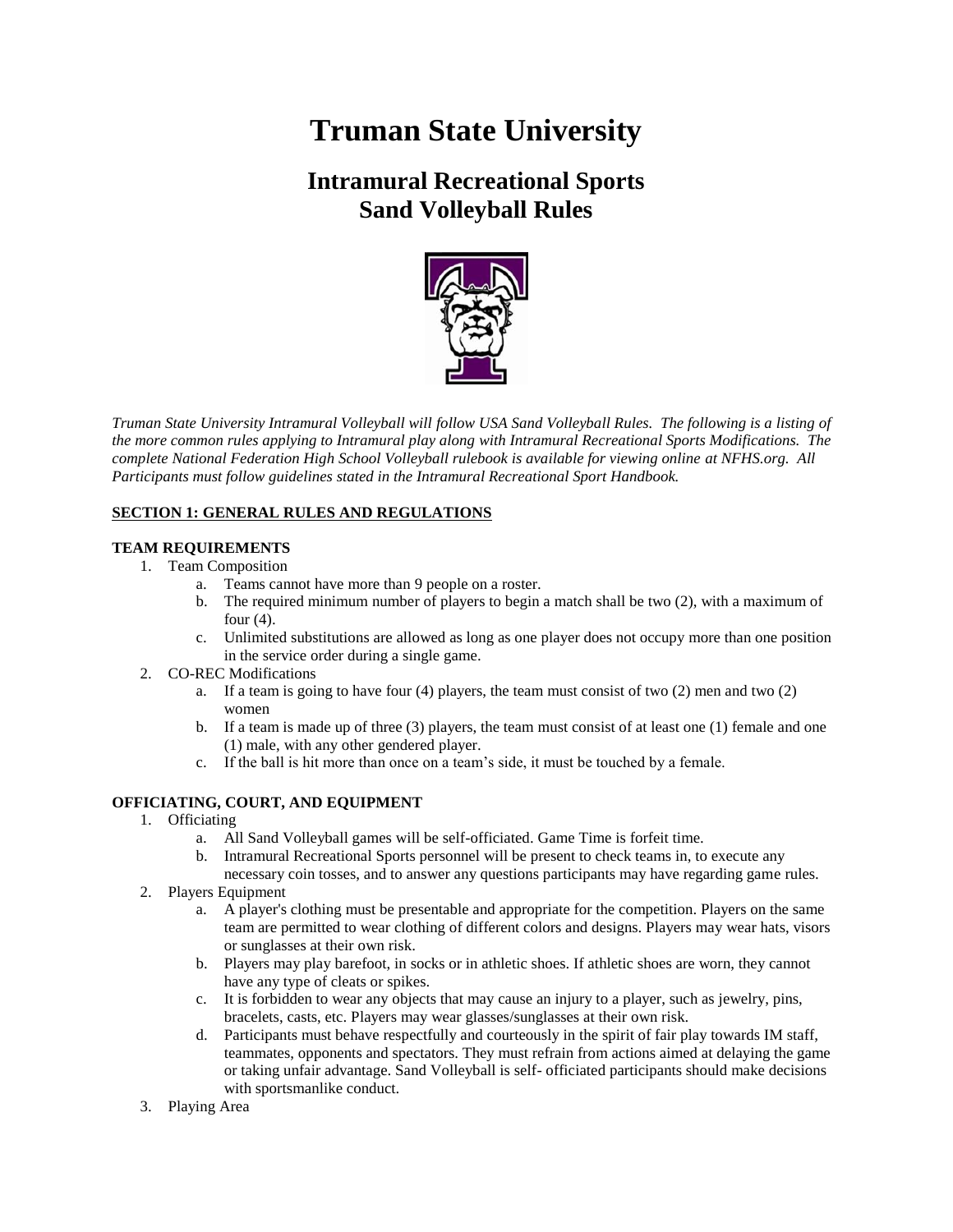# **Truman State University**

# **Intramural Recreational Sports Sand Volleyball Rules**



*Truman State University Intramural Volleyball will follow USA Sand Volleyball Rules. The following is a listing of the more common rules applying to Intramural play along with Intramural Recreational Sports Modifications. The complete National Federation High School Volleyball rulebook is available for viewing online at NFHS.org. All Participants must follow guidelines stated in the Intramural Recreational Sport Handbook.*

# **SECTION 1: GENERAL RULES AND REGULATIONS**

# **TEAM REQUIREMENTS**

- 1. Team Composition
	- a. Teams cannot have more than 9 people on a roster.
	- b. The required minimum number of players to begin a match shall be two (2), with a maximum of four  $(4)$ .
	- c. Unlimited substitutions are allowed as long as one player does not occupy more than one position in the service order during a single game.
- 2. CO-REC Modifications
	- a. If a team is going to have four  $(4)$  players, the team must consist of two  $(2)$  men and two  $(2)$ women
	- b. If a team is made up of three (3) players, the team must consist of at least one (1) female and one (1) male, with any other gendered player.
	- c. If the ball is hit more than once on a team's side, it must be touched by a female.

# **OFFICIATING, COURT, AND EQUIPMENT**

- 1. Officiating
	- a. All Sand Volleyball games will be self-officiated. Game Time is forfeit time.
	- b. Intramural Recreational Sports personnel will be present to check teams in, to execute any
	- necessary coin tosses, and to answer any questions participants may have regarding game rules.
- 2. Players Equipment
	- a. A player's clothing must be presentable and appropriate for the competition. Players on the same team are permitted to wear clothing of different colors and designs. Players may wear hats, visors or sunglasses at their own risk.
	- b. Players may play barefoot, in socks or in athletic shoes. If athletic shoes are worn, they cannot have any type of cleats or spikes.
	- c. It is forbidden to wear any objects that may cause an injury to a player, such as jewelry, pins, bracelets, casts, etc. Players may wear glasses/sunglasses at their own risk.
	- d. Participants must behave respectfully and courteously in the spirit of fair play towards IM staff, teammates, opponents and spectators. They must refrain from actions aimed at delaying the game or taking unfair advantage. Sand Volleyball is self- officiated participants should make decisions with sportsmanlike conduct.
- 3. Playing Area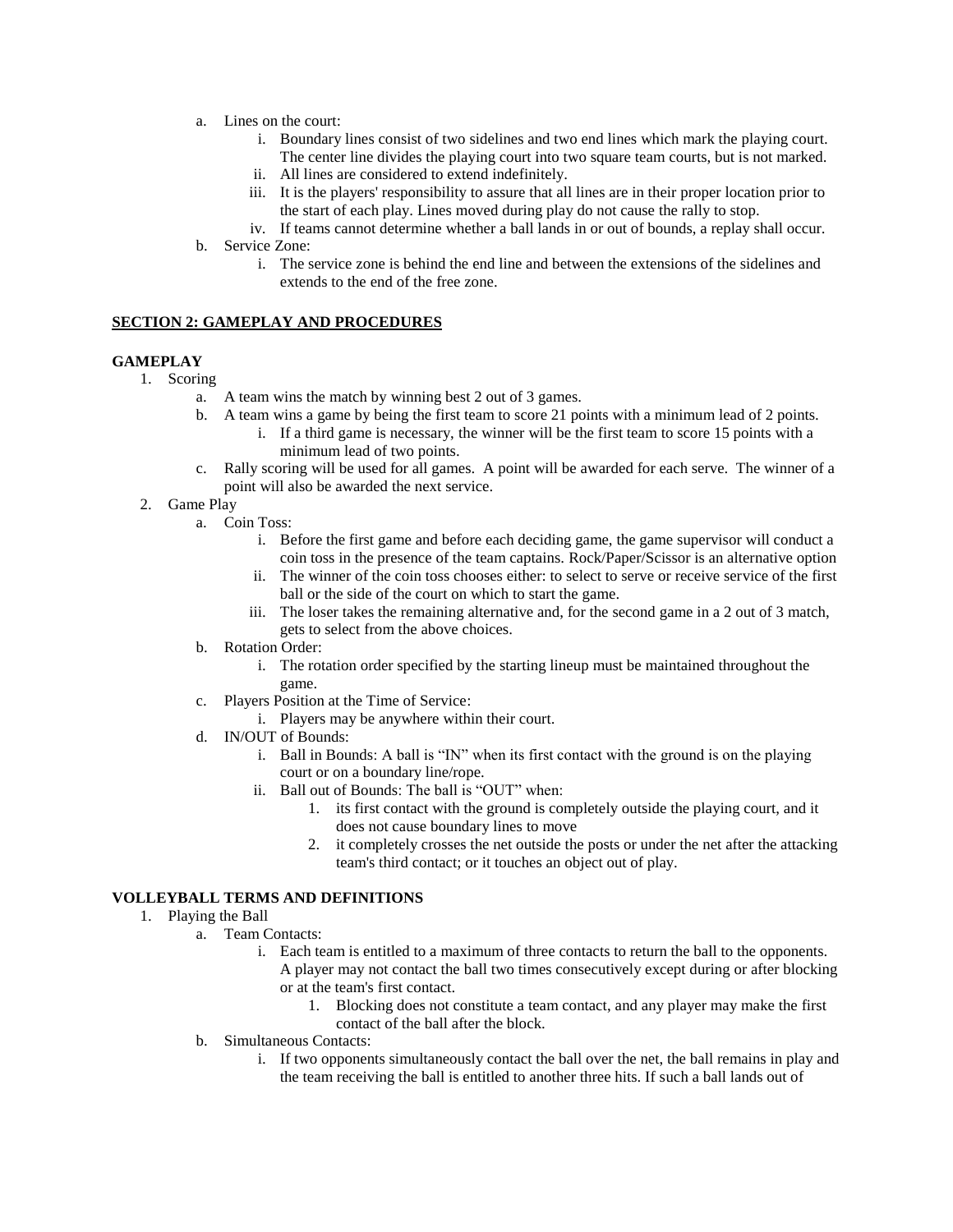- a. Lines on the court:
	- i. Boundary lines consist of two sidelines and two end lines which mark the playing court. The center line divides the playing court into two square team courts, but is not marked.
	- ii. All lines are considered to extend indefinitely.
	- iii. It is the players' responsibility to assure that all lines are in their proper location prior to the start of each play. Lines moved during play do not cause the rally to stop.
	- iv. If teams cannot determine whether a ball lands in or out of bounds, a replay shall occur.
- b. Service Zone:
	- i. The service zone is behind the end line and between the extensions of the sidelines and extends to the end of the free zone.

## **SECTION 2: GAMEPLAY AND PROCEDURES**

#### **GAMEPLAY**

- 1. Scoring
	- a. A team wins the match by winning best 2 out of 3 games.
	- b. A team wins a game by being the first team to score 21 points with a minimum lead of 2 points.
		- i. If a third game is necessary, the winner will be the first team to score 15 points with a minimum lead of two points.
	- c. Rally scoring will be used for all games. A point will be awarded for each serve. The winner of a point will also be awarded the next service.
	- 2. Game Play
		- a. Coin Toss:
			- i. Before the first game and before each deciding game, the game supervisor will conduct a coin toss in the presence of the team captains. Rock/Paper/Scissor is an alternative option
			- ii. The winner of the coin toss chooses either: to select to serve or receive service of the first ball or the side of the court on which to start the game.
			- iii. The loser takes the remaining alternative and, for the second game in a 2 out of 3 match, gets to select from the above choices.
		- b. Rotation Order:
			- i. The rotation order specified by the starting lineup must be maintained throughout the game.
		- c. Players Position at the Time of Service:
			- i. Players may be anywhere within their court.
		- d. IN/OUT of Bounds:
			- i. Ball in Bounds: A ball is "IN" when its first contact with the ground is on the playing court or on a boundary line/rope.
			- ii. Ball out of Bounds: The ball is "OUT" when:
				- 1. its first contact with the ground is completely outside the playing court, and it does not cause boundary lines to move
				- 2. it completely crosses the net outside the posts or under the net after the attacking team's third contact; or it touches an object out of play.

## **VOLLEYBALL TERMS AND DEFINITIONS**

- 1. Playing the Ball
	- a. Team Contacts:
		- i. Each team is entitled to a maximum of three contacts to return the ball to the opponents. A player may not contact the ball two times consecutively except during or after blocking or at the team's first contact.
			- 1. Blocking does not constitute a team contact, and any player may make the first contact of the ball after the block.
		- b. Simultaneous Contacts:
			- i. If two opponents simultaneously contact the ball over the net, the ball remains in play and the team receiving the ball is entitled to another three hits. If such a ball lands out of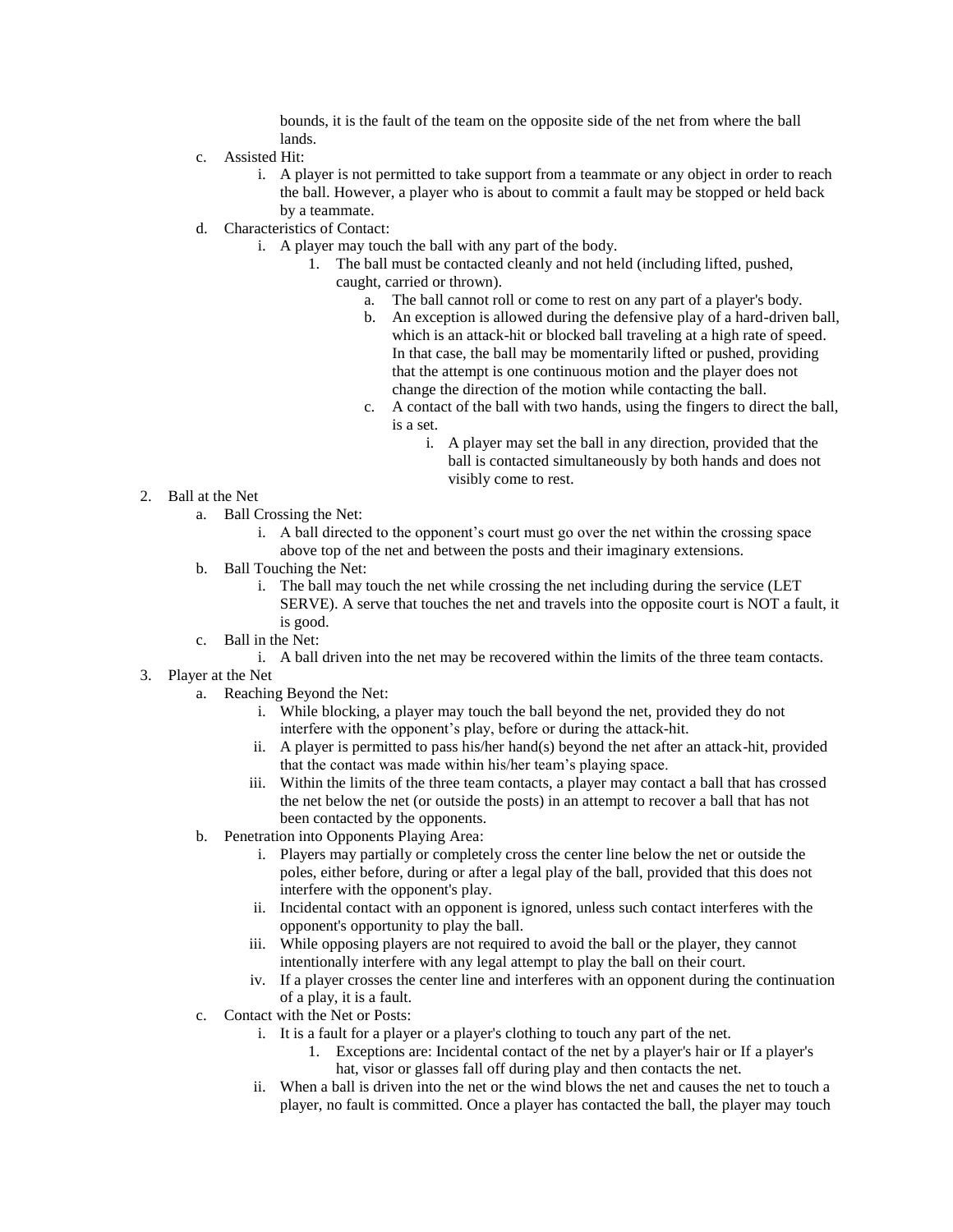bounds, it is the fault of the team on the opposite side of the net from where the ball lands.

- c. Assisted Hit:
	- i. A player is not permitted to take support from a teammate or any object in order to reach the ball. However, a player who is about to commit a fault may be stopped or held back by a teammate.
- d. Characteristics of Contact:
	- i. A player may touch the ball with any part of the body.
		- 1. The ball must be contacted cleanly and not held (including lifted, pushed, caught, carried or thrown).
			- a. The ball cannot roll or come to rest on any part of a player's body.
			- b. An exception is allowed during the defensive play of a hard-driven ball, which is an attack-hit or blocked ball traveling at a high rate of speed. In that case, the ball may be momentarily lifted or pushed, providing that the attempt is one continuous motion and the player does not change the direction of the motion while contacting the ball.
			- c. A contact of the ball with two hands, using the fingers to direct the ball, is a set.
				- i. A player may set the ball in any direction, provided that the ball is contacted simultaneously by both hands and does not visibly come to rest.

- 2. Ball at the Net
	- a. Ball Crossing the Net:
		- i. A ball directed to the opponent's court must go over the net within the crossing space above top of the net and between the posts and their imaginary extensions.
	- b. Ball Touching the Net:
		- i. The ball may touch the net while crossing the net including during the service (LET SERVE). A serve that touches the net and travels into the opposite court is NOT a fault, it is good.
	- c. Ball in the Net:
		- i. A ball driven into the net may be recovered within the limits of the three team contacts.
- 3. Player at the Net
	- a. Reaching Beyond the Net:
		- i. While blocking, a player may touch the ball beyond the net, provided they do not interfere with the opponent's play, before or during the attack-hit.
		- ii. A player is permitted to pass his/her hand(s) beyond the net after an attack-hit, provided that the contact was made within his/her team's playing space.
		- iii. Within the limits of the three team contacts, a player may contact a ball that has crossed the net below the net (or outside the posts) in an attempt to recover a ball that has not been contacted by the opponents.
	- b. Penetration into Opponents Playing Area:
		- i. Players may partially or completely cross the center line below the net or outside the poles, either before, during or after a legal play of the ball, provided that this does not interfere with the opponent's play.
		- ii. Incidental contact with an opponent is ignored, unless such contact interferes with the opponent's opportunity to play the ball.
		- iii. While opposing players are not required to avoid the ball or the player, they cannot intentionally interfere with any legal attempt to play the ball on their court.
		- iv. If a player crosses the center line and interferes with an opponent during the continuation of a play, it is a fault.
	- c. Contact with the Net or Posts:
		- i. It is a fault for a player or a player's clothing to touch any part of the net.
			- 1. Exceptions are: Incidental contact of the net by a player's hair or If a player's hat, visor or glasses fall off during play and then contacts the net.
		- ii. When a ball is driven into the net or the wind blows the net and causes the net to touch a player, no fault is committed. Once a player has contacted the ball, the player may touch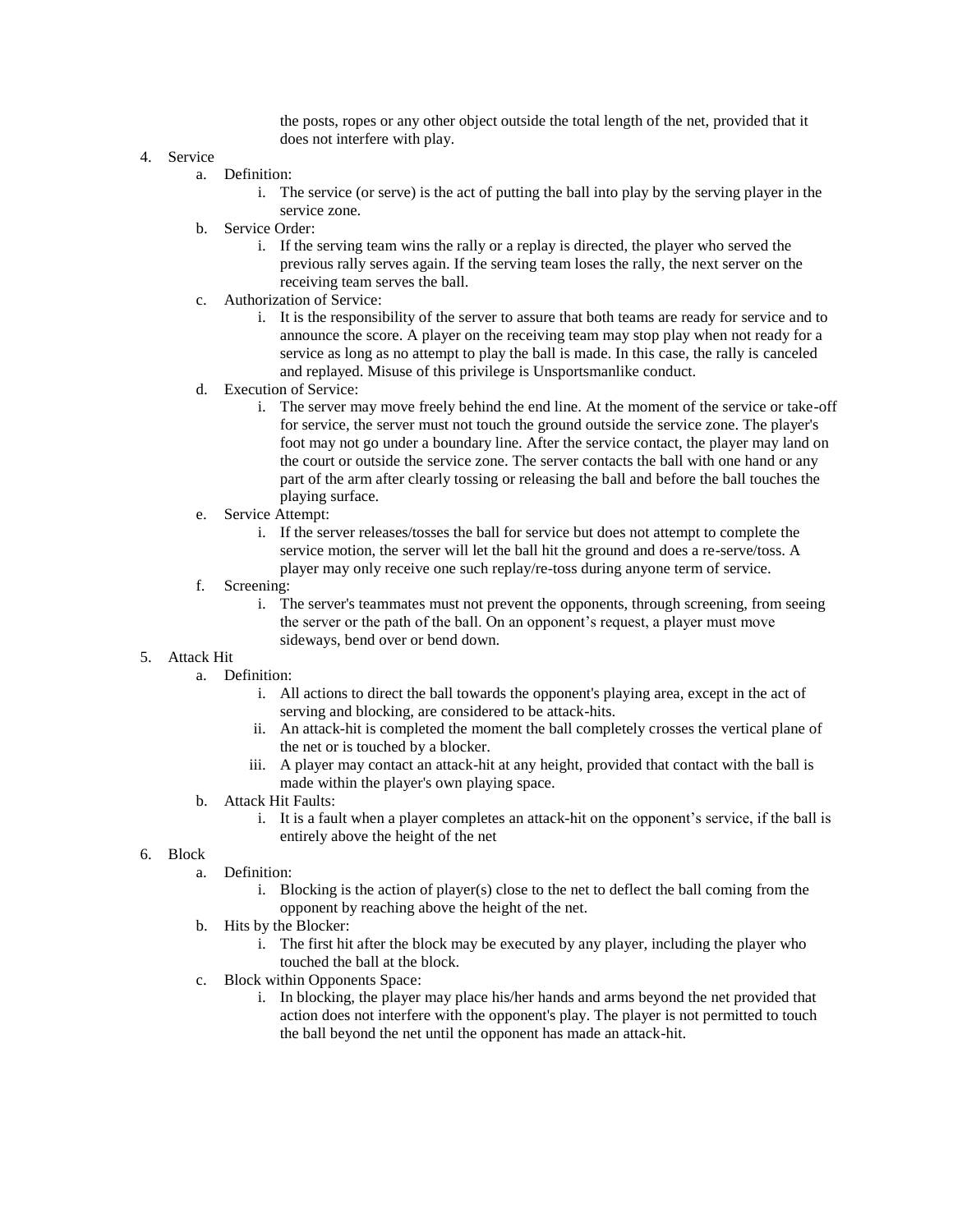the posts, ropes or any other object outside the total length of the net, provided that it does not interfere with play.

- 4. Service
	- a. Definition:
		- i. The service (or serve) is the act of putting the ball into play by the serving player in the service zone.
	- b. Service Order:
		- i. If the serving team wins the rally or a replay is directed, the player who served the previous rally serves again. If the serving team loses the rally, the next server on the receiving team serves the ball.
	- c. Authorization of Service:
		- i. It is the responsibility of the server to assure that both teams are ready for service and to announce the score. A player on the receiving team may stop play when not ready for a service as long as no attempt to play the ball is made. In this case, the rally is canceled and replayed. Misuse of this privilege is Unsportsmanlike conduct.
	- d. Execution of Service:
		- i. The server may move freely behind the end line. At the moment of the service or take-off for service, the server must not touch the ground outside the service zone. The player's foot may not go under a boundary line. After the service contact, the player may land on the court or outside the service zone. The server contacts the ball with one hand or any part of the arm after clearly tossing or releasing the ball and before the ball touches the playing surface.
	- e. Service Attempt:
		- i. If the server releases/tosses the ball for service but does not attempt to complete the service motion, the server will let the ball hit the ground and does a re-serve/toss. A player may only receive one such replay/re-toss during anyone term of service.
	- f. Screening:
		- i. The server's teammates must not prevent the opponents, through screening, from seeing the server or the path of the ball. On an opponent's request, a player must move sideways, bend over or bend down.
- 5. Attack Hit
	- a. Definition:
		- i. All actions to direct the ball towards the opponent's playing area, except in the act of serving and blocking, are considered to be attack-hits.
		- ii. An attack-hit is completed the moment the ball completely crosses the vertical plane of the net or is touched by a blocker.
		- iii. A player may contact an attack-hit at any height, provided that contact with the ball is made within the player's own playing space.
	- b. Attack Hit Faults:
		- i. It is a fault when a player completes an attack-hit on the opponent's service, if the ball is entirely above the height of the net
- 6. Block
	- a. Definition:
		- i. Blocking is the action of player(s) close to the net to deflect the ball coming from the opponent by reaching above the height of the net.
	- b. Hits by the Blocker:
		- i. The first hit after the block may be executed by any player, including the player who touched the ball at the block.
	- c. Block within Opponents Space:
		- i. In blocking, the player may place his/her hands and arms beyond the net provided that action does not interfere with the opponent's play. The player is not permitted to touch the ball beyond the net until the opponent has made an attack-hit.